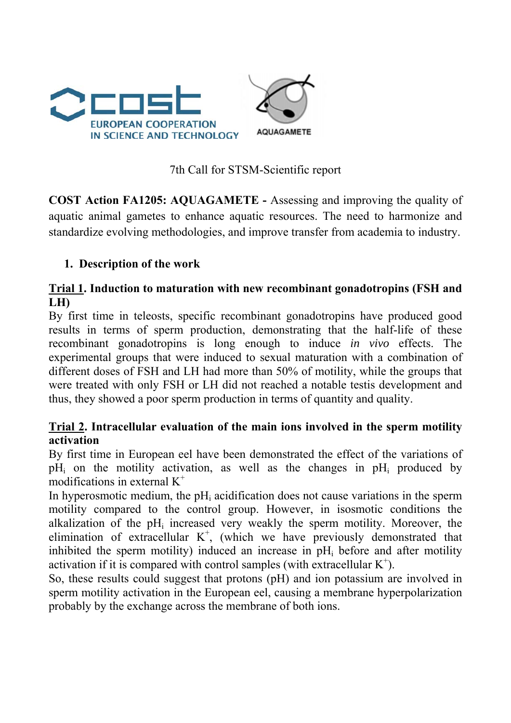

7th Call for STSM-Scientific report

**COST Action FA1205: AQUAGAMETE -** Assessing and improving the quality of aquatic animal gametes to enhance aquatic resources. The need to harmonize and standardize evolving methodologies, and improve transfer from academia to industry.

## **1. Description of the work**

## **Trial 1. Induction to maturation with new recombinant gonadotropins (FSH and LH)**

By first time in teleosts, specific recombinant gonadotropins have produced good results in terms of sperm production, demonstrating that the half-life of these recombinant gonadotropins is long enough to induce *in vivo* effects. The experimental groups that were induced to sexual maturation with a combination of different doses of FSH and LH had more than 50% of motility, while the groups that were treated with only FSH or LH did not reached a notable testis development and thus, they showed a poor sperm production in terms of quantity and quality.

## **Trial 2. Intracellular evaluation of the main ions involved in the sperm motility activation**

By first time in European eel have been demonstrated the effect of the variations of  $pH_i$  on the motility activation, as well as the changes in  $pH_i$  produced by modifications in external  $K^+$ 

In hyperosmotic medium, the pH<sub>i</sub> acidification does not cause variations in the sperm motility compared to the control group. However, in isosmotic conditions the alkalization of the  $pH_i$  increased very weakly the sperm motility. Moreover, the elimination of extracellular  $K^+$ , (which we have previously demonstrated that inhibited the sperm motility) induced an increase in  $pH_i$  before and after motility activation if it is compared with control samples (with extracellular  $K^+$ ).

So, these results could suggest that protons (pH) and ion potassium are involved in sperm motility activation in the European eel, causing a membrane hyperpolarization probably by the exchange across the membrane of both ions.